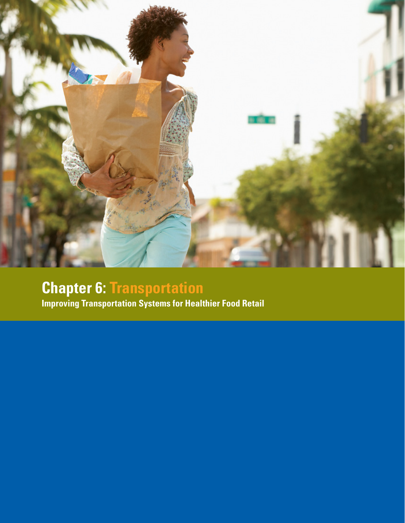

# **Chapter 6: Transportation**

**Improving Transportation Systems for Healthier Food Retail**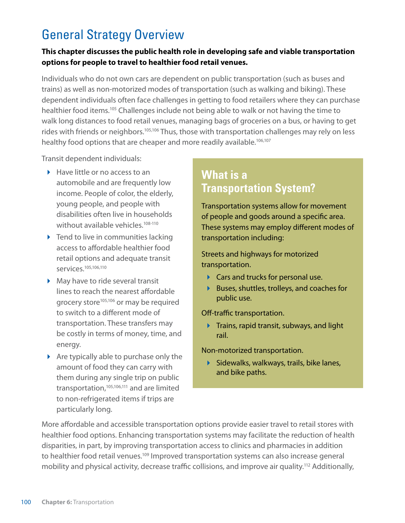# General Strategy Overview

#### **This chapter discusses the public health role in developing safe and viable transportation options for people to travel to healthier food retail venues.**

Individuals who do not own cars are dependent on public transportation (such as buses and trains) as well as non-motorized modes of transportation (such as walking and biking). These dependent individuals often face challenges in getting to food retailers where they can purchase healthier food items.<sup>105</sup> Challenges include not being able to walk or not having the time to walk long distances to food retail venues, managing bags of groceries on a bus, or having to get rides with friends or neighbors.<sup>105,106</sup> Thus, those with transportation challenges may rely on less healthy food options that are cheaper and more readily available.<sup>106,107</sup>

Transit dependent individuals:

- $\blacktriangleright$  Have little or no access to an automobile and are frequently low income. People of color, the elderly, young people, and people with disabilities often live in households without available vehicles.<sup>108-110</sup>
- $\triangleright$  Tend to live in communities lacking access to affordable healthier food retail options and adequate transit services.105,106,110
- May have to ride several transit lines to reach the nearest affordable grocery store<sup>105,106</sup> or may be required to switch to a different mode of transportation. These transfers may be costly in terms of money, time, and energy.
- $\triangleright$  Are typically able to purchase only the amount of food they can carry with them during any single trip on public transportation,105,106,111 and are limited to non-refrigerated items if trips are particularly long.

### **What is a Transportation System?**

Transportation systems allow for movement of people and goods around a specific area. These systems may employ different modes of transportation including:

Streets and highways for motorized transportation.

- ▶ Cars and trucks for personal use.
- ▶ Buses, shuttles, trolleys, and coaches for public use.

Off-traffic transportation.

 $\blacktriangleright$  Trains, rapid transit, subways, and light rail.

Non-motorized transportation.

 $\blacktriangleright$  Sidewalks, walkways, trails, bike lanes, and bike paths.

More affordable and accessible transportation options provide easier travel to retail stores with healthier food options. Enhancing transportation systems may facilitate the reduction of health disparities, in part, by improving transportation access to clinics and pharmacies in addition to healthier food retail venues.<sup>109</sup> Improved transportation systems can also increase general mobility and physical activity, decrease traffic collisions, and improve air quality.112 Additionally,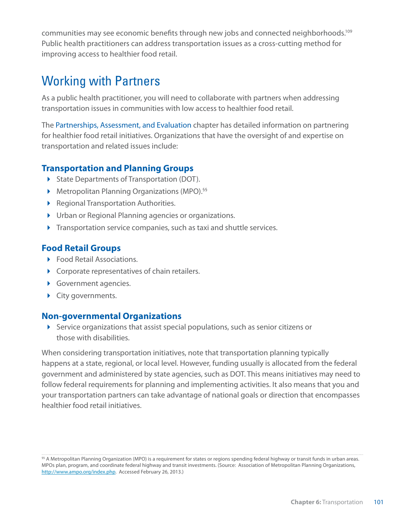communities may see economic benefits through new jobs and connected neighborhoods.109 Public health practitioners can address transportation issues as a cross-cutting method for improving access to healthier food retail.

# Working with Partners

As a public health practitioner, you will need to collaborate with partners when addressing transportation issues in communities with low access to healthier food retail.

The Partnerships, Assessment, and Evaluation chapter has detailed information on partnering for healthier food retail initiatives. Organizations that have the oversight of and expertise on transportation and related issues include:

#### **Transportation and Planning Groups**

- State Departments of Transportation (DOT).
- ▶ Metropolitan Planning Organizations (MPO).<sup>§§</sup>
- **Regional Transportation Authorities.**
- Urban or Regional Planning agencies or organizations.
- **Transportation service companies, such as taxi and shuttle services.**

#### **Food Retail Groups**

- ▶ Food Retail Associations.
- Corporate representatives of chain retailers.
- Government agencies.
- City governments.

#### **Non-governmental Organizations**

 Service organizations that assist special populations, such as senior citizens or those with disabilities.

When considering transportation initiatives, note that transportation planning typically happens at a state, regional, or local level. However, funding usually is allocated from the federal government and administered by state agencies, such as DOT. This means initiatives may need to follow federal requirements for planning and implementing activities. It also means that you and your transportation partners can take advantage of national goals or direction that encompasses healthier food retail initiatives.

<sup>§§</sup> A Metropolitan Planning Organization (MPO) is a requirement for states or regions spending federal highway or transit funds in urban areas. MPOs plan, program, and coordinate federal highway and transit investments. (Source: Association of Metropolitan Planning Organizations, [http://www.ampo.org/index.php.](http://www.ampo.org/index.php) Accessed February 26, 2013.)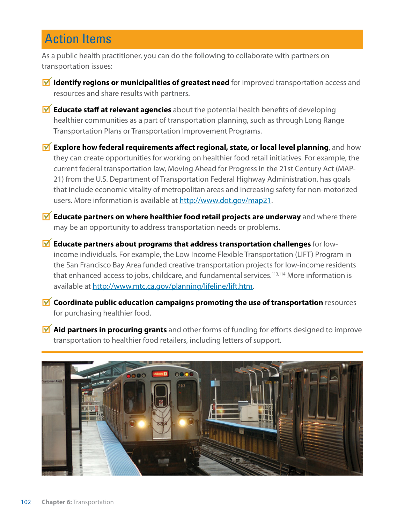### Action Items

As a public health practitioner, you can do the following to collaborate with partners on transportation issues:

- **Identify regions or municipalities of greatest need** for improved transportation access and resources and share results with partners.
- **Educate staff at relevant agencies** about the potential health benefits of developing healthier communities as a part of transportation planning, such as through Long Range Transportation Plans or Transportation Improvement Programs.
- **M** Explore how federal requirements affect regional, state, or local level planning, and how they can create opportunities for working on healthier food retail initiatives. For example, the current federal transportation law, Moving Ahead for Progress in the 21st Century Act (MAP-21) from the U.S. Department of Transportation Federal Highway Administration, has goals that include economic vitality of metropolitan areas and increasing safety for non-motorized users. More information is available at<http://www.dot.gov/map21>.
- **M** Educate partners on where healthier food retail projects are underway and where there may be an opportunity to address transportation needs or problems.
- **Educate partners about programs that address transportation challenges** for lowincome individuals. For example, the Low Income Flexible Transportation (LIFT) Program in the San Francisco Bay Area funded creative transportation projects for low-income residents that enhanced access to jobs, childcare, and fundamental services.<sup>113,114</sup> More information is available at<http://www.mtc.ca.gov/planning/lifeline/lift.htm>.
- **M Coordinate public education campaigns promoting the use of transportation** resources for purchasing healthier food.
- **Aid partners in procuring grants** and other forms of funding for efforts designed to improve transportation to healthier food retailers, including letters of support.

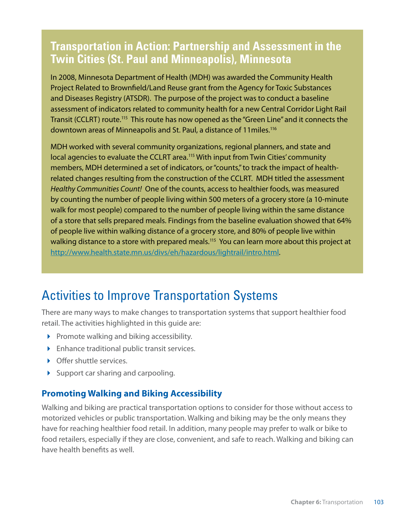### **Transportation in Action: Partnership and Assessment in the Twin Cities (St. Paul and Minneapolis), Minnesota**

In 2008, Minnesota Department of Health (MDH) was awarded the Community Health Project Related to Brownfield/Land Reuse grant from the Agency for Toxic Substances and Diseases Registry (ATSDR). The purpose of the project was to conduct a baseline assessment of indicators related to community health for a new Central Corridor Light Rail Transit (CCLRT) route.<sup>115</sup> This route has now opened as the "Green Line" and it connects the downtown areas of Minneapolis and St. Paul, a distance of 11miles.116

MDH worked with several community organizations, regional planners, and state and local agencies to evaluate the CCLRT area.<sup>115</sup> With input from Twin Cities' community members, MDH determined a set of indicators, or "counts," to track the impact of healthrelated changes resulting from the construction of the CCLRT. MDH titled the assessment *Healthy Communities Count!* One of the counts, access to healthier foods, was measured by counting the number of people living within 500 meters of a grocery store (a 10-minute walk for most people) compared to the number of people living within the same distance of a store that sells prepared meals. Findings from the baseline evaluation showed that 64% of people live within walking distance of a grocery store, and 80% of people live within walking distance to a store with prepared meals.<sup>115</sup> You can learn more about this project at [http://www.health.state.mn.us/divs/eh/hazardous/lightrail/intro.html.](http://www.health.state.mn.us/divs/eh/hazardous/lightrail/intro.html)

# Activities to Improve Transportation Systems

There are many ways to make changes to transportation systems that support healthier food retail. The activities highlighted in this guide are:

- $\triangleright$  Promote walking and biking accessibility.
- Enhance traditional public transit services.
- ▶ Offer shuttle services.
- $\triangleright$  Support car sharing and carpooling.

### **Promoting Walking and Biking Accessibility**

Walking and biking are practical transportation options to consider for those without access to motorized vehicles or public transportation. Walking and biking may be the only means they have for reaching healthier food retail. In addition, many people may prefer to walk or bike to food retailers, especially if they are close, convenient, and safe to reach. Walking and biking can have health benefits as well.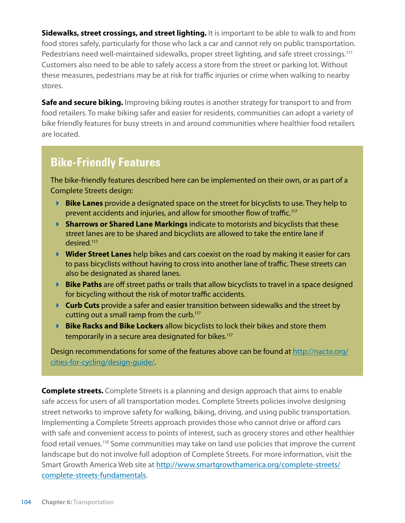**Sidewalks, street crossings, and street lighting.** It is important to be able to walk to and from food stores safely, particularly for those who lack a car and cannot rely on public transportation. Pedestrians need well-maintained sidewalks, proper street lighting, and safe street crossings.<sup>117</sup> Customers also need to be able to safely access a store from the street or parking lot. Without these measures, pedestrians may be at risk for traffic injuries or crime when walking to nearby stores.

**Safe and secure biking.** Improving biking routes is another strategy for transport to and from food retailers. To make biking safer and easier for residents, communities can adopt a variety of bike friendly features for busy streets in and around communities where healthier food retailers are located.

### **Bike-Friendly Features**

The bike-friendly features described here can be implemented on their own, or as part of a Complete Streets design:

- **Bike Lanes** provide a designated space on the street for bicyclists to use. They help to prevent accidents and injuries, and allow for smoother flow of traffic.117
- **Sharrows or Shared Lane Markings** indicate to motorists and bicyclists that these street lanes are to be shared and bicyclists are allowed to take the entire lane if desired.117
- **Wider Street Lanes** help bikes and cars coexist on the road by making it easier for cars to pass bicyclists without having to cross into another lane of traffic. These streets can also be designated as shared lanes.
- **Bike Paths** are off street paths or trails that allow bicyclists to travel in a space designed for bicycling without the risk of motor traffic accidents.
- **Curb Cuts** provide a safer and easier transition between sidewalks and the street by cutting out a small ramp from the curb.<sup>117</sup>
- **Bike Racks and Bike Lockers** allow bicyclists to lock their bikes and store them temporarily in a secure area designated for bikes.<sup>117</sup>

Design recommendations for some of the features above can be found at [http://nacto.org/](http://nacto.org/cities-for-cycling/design) [cities-for-cycling/design-](http://nacto.org/cities-for-cycling/design)guide/.

**Complete streets.** Complete Streets is a planning and design approach that aims to enable safe access for users of all transportation modes. Complete Streets policies involve designing street networks to improve safety for walking, biking, driving, and using public transportation. Implementing a Complete Streets approach provides those who cannot drive or afford cars with safe and convenient access to points of interest, such as grocery stores and other healthier food retail venues.118 Some communities may take on land use policies that improve the current landscape but do not involve full adoption of Complete Streets. For more information, visit the Smart Growth America Web site at [http://www.smartgrowthamerica.org/complete-streets/](http://www.smartgrowthamerica.org/complete-streets/complete) [complete-](http://www.smartgrowthamerica.org/complete-streets/complete)streets-fundamentals.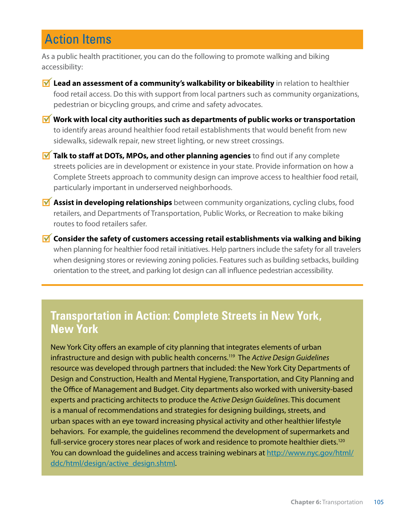# Action Items

As a public health practitioner, you can do the following to promote walking and biking accessibility:

- **M** Lead an assessment of a community's walkability or bikeability in relation to healthier food retail access. Do this with support from local partners such as community organizations, pedestrian or bicycling groups, and crime and safety advocates.
- **Work with local city authorities such as departments of public works or transportation** to identify areas around healthier food retail establishments that would benefit from new sidewalks, sidewalk repair, new street lighting, or new street crossings.
- **M** Talk to staff at DOTs, MPOs, and other planning agencies to find out if any complete streets policies are in development or existence in your state. Provide information on how a Complete Streets approach to community design can improve access to healthier food retail, particularly important in underserved neighborhoods.
- **Assist in developing relationships** between community organizations, cycling clubs, food retailers, and Departments of Transportation, Public Works, or Recreation to make biking routes to food retailers safer.
- **M** Consider the safety of customers accessing retail establishments via walking and biking when planning for healthier food retail initiatives. Help partners include the safety for all travelers when designing stores or reviewing zoning policies. Features such as building setbacks, building orientation to the street, and parking lot design can all influence pedestrian accessibility.

### **Transportation in Action: Complete Streets in New York, New York**

New York City offers an example of city planning that integrates elements of urban infrastructure and design with public health concerns.119 The *Active Design Guidelines*  resource was developed through partners that included: the New York City Departments of Design and Construction, Health and Mental Hygiene, Transportation, and City Planning and the Office of Management and Budget. City departments also worked with university-based experts and practicing architects to produce the *Active Design Guidelines*. This document is a manual of recommendations and strategies for designing buildings, streets, and urban spaces with an eye toward increasing physical activity and other healthier lifestyle behaviors. For example, the guidelines recommend the development of supermarkets and full-service grocery stores near places of work and residence to promote healthier diets.<sup>120</sup> You can download the guidelines and access training webinars at [http://www.nyc.gov/html/](http://www.nyc.gov/html/ddc/html/design/active_design.shtml) [ddc/html/design/active\\_design.shtml.](http://www.nyc.gov/html/ddc/html/design/active_design.shtml)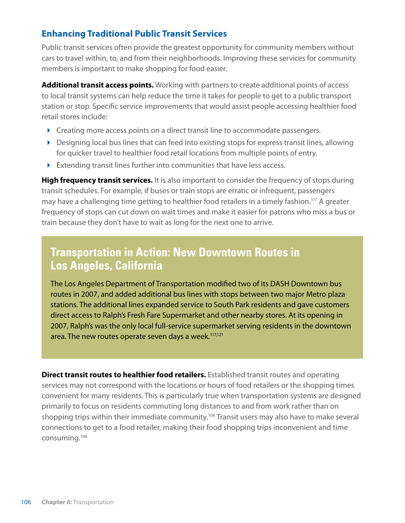### **Enhancing Traditional Public Transit Services**

Public transit services often provide the greatest opportunity for community members without cars to travel within, to, and from their neighborhoods. Improving these services for community members is important to make shopping for food easier.

**Additional transit access points.** Working with partners to create additional points of access to local transit systems can help reduce the time it takes for people to get to a public transport station or stop. Specific service improvements that would assist people accessing healthier food retail stores include:

- ▶ Creating more access points on a direct transit line to accommodate passengers.
- ▶ Designing local bus lines that can feed into existing stops for express transit lines, allowing for quicker travel to healthier food retail locations from multiple points of entry.
- Extending transit lines further into communities that have less access.

**High frequency transit services.** It is also important to consider the frequency of stops during transit schedules. For example, if buses or train stops are erratic or infrequent, passengers may have a challenging time getting to healthier food retailers in a timely fashion.117 A greater frequency of stops can cut down on wait times and make it easier for patrons who miss a bus or train because they don't have to wait as long for the next one to arrive.

### **Transportation in Action: New Downtown Routes in Los Angeles, California**

The Los Angeles Department of Transportation modified two of its DASH Downtown bus routes in 2007, and added additional bus lines with stops between two major Metro plaza stations. The additional lines expanded service to South Park residents and gave customers direct access to Ralph's Fresh Fare Supermarket and other nearby stores. At its opening in 2007, Ralph's was the only local full-service supermarket serving residents in the downtown area. The new routes operate seven days a week.<sup>117,121</sup>

**Direct transit routes to healthier food retailers.** Established transit routes and operating services may not correspond with the locations or hours of food retailers or the shopping times convenient for many residents. This is particularly true when transportation systems are designed primarily to focus on residents commuting long distances to and from work rather than on shopping trips within their immediate community.<sup>106</sup> Transit users may also have to make several connections to get to a food retailer, making their food shopping trips inconvenient and time consuming.106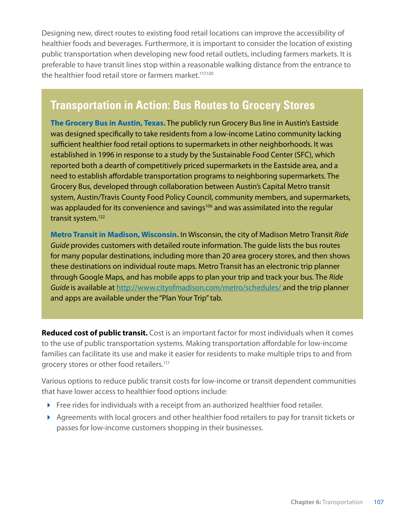Designing new, direct routes to existing food retail locations can improve the accessibility of healthier foods and beverages. Furthermore, it is important to consider the location of existing public transportation when developing new food retail outlets, including farmers markets. It is preferable to have transit lines stop within a reasonable walking distance from the entrance to the healthier food retail store or farmers market.<sup>117,120</sup>

### **Transportation in Action: Bus Routes to Grocery Stores**

**The Grocery Bus in Austin, Texas.** The publicly run Grocery Bus line in Austin's Eastside was designed specifically to take residents from a low-income Latino community lacking sufficient healthier food retail options to supermarkets in other neighborhoods. It was established in 1996 in response to a study by the Sustainable Food Center (SFC), which reported both a dearth of competitively priced supermarkets in the Eastside area, and a need to establish affordable transportation programs to neighboring supermarkets. The Grocery Bus, developed through collaboration between Austin's Capital Metro transit system, Austin/Travis County Food Policy Council, community members, and supermarkets, was applauded for its convenience and savings<sup>106</sup> and was assimilated into the regular transit system.122

**Metro Transit in Madison, Wisconsin.** In Wisconsin, the city of Madison Metro Transit *Ride Guide* provides customers with detailed route information. The guide lists the bus routes for many popular destinations, including more than 20 area grocery stores, and then shows these destinations on individual route maps. Metro Transit has an electronic trip planner through Google Maps, and has mobile apps to plan your trip and track your bus. The *Ride Guide* is available at<http://www.cityofmadison.com/metro/schedules>/ and the trip planner and apps are available under the "Plan Your Trip" tab.

**Reduced cost of public transit.** Cost is an important factor for most individuals when it comes to the use of public transportation systems. Making transportation affordable for low-income families can facilitate its use and make it easier for residents to make multiple trips to and from grocery stores or other food retailers.117

Various options to reduce public transit costs for low-income or transit dependent communities that have lower access to healthier food options include:

- Free rides for individuals with a receipt from an authorized healthier food retailer.
- Agreements with local grocers and other healthier food retailers to pay for transit tickets or passes for low-income customers shopping in their businesses.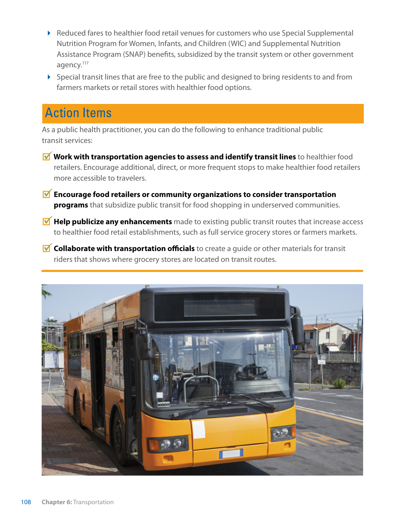- ▶ Reduced fares to healthier food retail venues for customers who use Special Supplemental Nutrition Program for Women, Infants, and Children (WIC) and Supplemental Nutrition Assistance Program (SNAP) benefits, subsidized by the transit system or other government agency.<sup>117</sup>
- $\triangleright$  Special transit lines that are free to the public and designed to bring residents to and from farmers markets or retail stores with healthier food options.

### Action Items

As a public health practitioner, you can do the following to enhance traditional public transit services:

- **Work with transportation agencies to assess and identify transit lines** to healthier food retailers. Encourage additional, direct, or more frequent stops to make healthier food retailers more accessible to travelers.
- **M** Encourage food retailers or community organizations to consider transportation **programs** that subsidize public transit for food shopping in underserved communities.
- **M** Help publicize any enhancements made to existing public transit routes that increase access to healthier food retail establishments, such as full service grocery stores or farmers markets.
- **M** Collaborate with transportation officials to create a quide or other materials for transit riders that shows where grocery stores are located on transit routes.

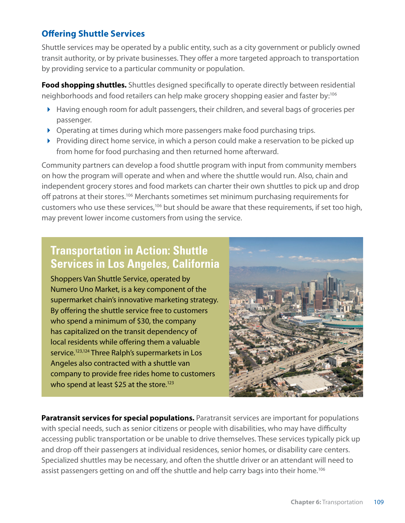### **Offering Shuttle Services**

Shuttle services may be operated by a public entity, such as a city government or publicly owned transit authority, or by private businesses. They offer a more targeted approach to transportation by providing service to a particular community or population.

**Food shopping shuttles.** Shuttles designed specifically to operate directly between residential neighborhoods and food retailers can help make grocery shopping easier and faster by:106

- Having enough room for adult passengers, their children, and several bags of groceries per passenger.
- ▶ Operating at times during which more passengers make food purchasing trips.
- Providing direct home service, in which a person could make a reservation to be picked up from home for food purchasing and then returned home afterward.

Community partners can develop a food shuttle program with input from community members on how the program will operate and when and where the shuttle would run. Also, chain and independent grocery stores and food markets can charter their own shuttles to pick up and drop off patrons at their stores.<sup>106</sup> Merchants sometimes set minimum purchasing requirements for customers who use these services,106 but should be aware that these requirements, if set too high, may prevent lower income customers from using the service.

### **Transportation in Action: Shuttle Services in Los Angeles, California**

Shoppers Van Shuttle Service, operated by Numero Uno Market, is a key component of the supermarket chain's innovative marketing strategy. By offering the shuttle service free to customers who spend a minimum of \$30, the company has capitalized on the transit dependency of local residents while offering them a valuable service.<sup>123,124</sup> Three Ralph's supermarkets in Los Angeles also contracted with a shuttle van company to provide free rides home to customers who spend at least \$25 at the store.<sup>123</sup>



**Paratransit services for special populations.** Paratransit services are important for populations with special needs, such as senior citizens or people with disabilities, who may have difficulty accessing public transportation or be unable to drive themselves. These services typically pick up and drop off their passengers at individual residences, senior homes, or disability care centers. Specialized shuttles may be necessary, and often the shuttle driver or an attendant will need to assist passengers getting on and off the shuttle and help carry bags into their home.<sup>106</sup>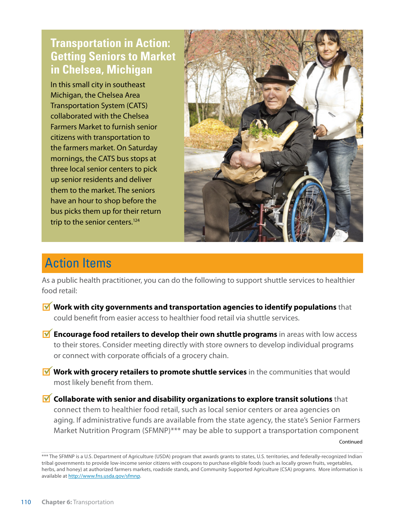### **Transportation in Action: Getting Seniors to Market in Chelsea, Michigan**

In this small city in southeast Michigan, the Chelsea Area Transportation System (CATS) collaborated with the Chelsea Farmers Market to furnish senior citizens with transportation to the farmers market. On Saturday mornings, the CATS bus stops at three local senior centers to pick up senior residents and deliver them to the market. The seniors have an hour to shop before the bus picks them up for their return trip to the senior centers.<sup>124</sup>



# Action Items

As a public health practitioner, you can do the following to support shuttle services to healthier food retail:

- **M** Work with city governments and transportation agencies to identify populations that could benefit from easier access to healthier food retail via shuttle services.
- **M** Encourage food retailers to develop their own shuttle programs in areas with low access to their stores. Consider meeting directly with store owners to develop individual programs or connect with corporate officials of a grocery chain.
- **M** Work with grocery retailers to promote shuttle services in the communities that would most likely benefit from them.
- **M** Collaborate with senior and disability organizations to explore transit solutions that connect them to healthier food retail, such as local senior centers or area agencies on aging. If administrative funds are available from the state agency, the state's Senior Farmers Market Nutrition Program (SFMNP)\*\*\* may be able to support a transportation component

Continued

<sup>\*\*\*</sup> The SFMNP is a U.S. Department of Agriculture (USDA) program that awards grants to states, U.S. territories, and federally-recognized Indian tribal governments to provide low-income senior citizens with coupons to purchase eligible foods (such as locally grown fruits, vegetables, herbs, and honey) at authorized farmers markets, roadside stands, and Community Supported Agriculture (CSA) programs. More information is available at [http://www.fns.usda.gov/sfmnp.](http://www.fns.usda.gov/sfmnp)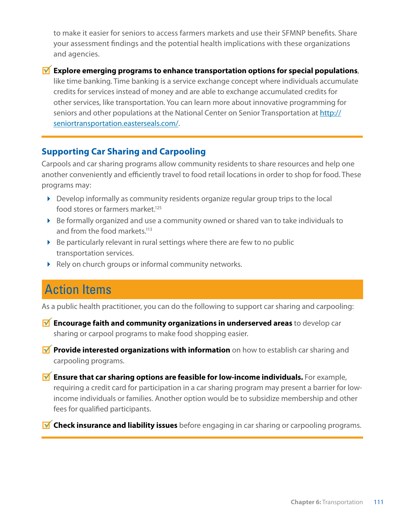to make it easier for seniors to access farmers markets and use their SFMNP benefits. Share your assessment findings and the potential health implications with these organizations and agencies.

#### **M** Explore emerging programs to enhance transportation options for special populations,

like time banking. Time banking is a service exchange concept where individuals accumulate credits for services instead of money and are able to exchange accumulated credits for other services, like transportation. You can learn more about innovative programming for seniors and other populations at the National Center on Senior Transportation at [http://](http://seniortransportation.easterseals.com) [seniortransportation.easterseals.com/](http://seniortransportation.easterseals.com).

#### **Supporting Car Sharing and Carpooling**

Carpools and car sharing programs allow community residents to share resources and help one another conveniently and efficiently travel to food retail locations in order to shop for food. These programs may:

- $\triangleright$  Develop informally as community residents organize regular group trips to the local food stores or farmers market.<sup>125</sup>
- Be formally organized and use a community owned or shared van to take individuals to and from the food markets.<sup>113</sup>
- $\triangleright$  Be particularly relevant in rural settings where there are few to no public transportation services.
- Rely on church groups or informal community networks.

### Action Items

As a public health practitioner, you can do the following to support car sharing and carpooling:

- **Encourage faith and community organizations in underserved areas** to develop car sharing or carpool programs to make food shopping easier.
- **Provide interested organizations with information** on how to establish car sharing and carpooling programs.
- **M** Ensure that car sharing options are feasible for low-income individuals. For example, requiring a credit card for participation in a car sharing program may present a barrier for lowincome individuals or families. Another option would be to subsidize membership and other fees for qualified participants.
- **M** Check insurance and liability issues before engaging in car sharing or carpooling programs.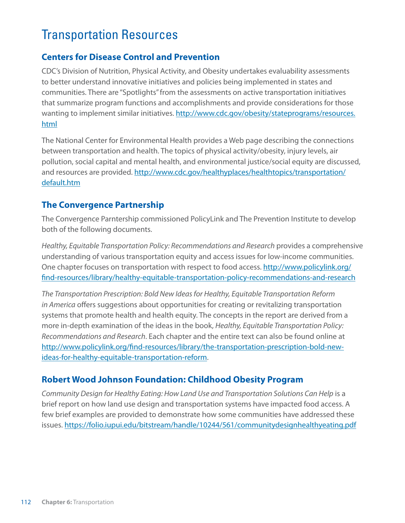# Transportation Resources

#### **Centers for Disease Control and Prevention**

CDC's Division of Nutrition, Physical Activity, and Obesity undertakes evaluability assessments to better understand innovative initiatives and policies being implemented in states and communities. There are "Spotlights" from the assessments on active transportation initiatives that summarize program functions and accomplishments and provide considerations for those wanting to implement similar initiatives. [http://www.cdc.gov/obesity/stateprograms/resources.](http://www.cdc.gov/obesity/stateprograms/resources.html) [html](http://www.cdc.gov/obesity/stateprograms/resources.html)

The National Center for Environmental Health provides a Web page describing the connections between transportation and health. The topics of physical activity/obesity, injury levels, air pollution, social capital and mental health, and environmental justice/social equity are discussed, and resources are provided. [http://www.cdc.gov/healthyplaces/healthtopics/transportation/](http://www.cdc.gov/healthyplaces/healthtopics/transportation/default.htm) [default.htm](http://www.cdc.gov/healthyplaces/healthtopics/transportation/default.htm)

#### **The Convergence Partnership**

The Convergence Parntership commissioned PolicyLink and The Prevention Institute to develop both of the following documents.

*Healthy, Equitable Transportation Policy: Recommendations and Research* provides a comprehensive understanding of various transportation equity and access issues for low-income communities. One chapter focuses on transportation with respect to food access. [http://www.policylink.org/](http://www.policylink.org/find-resources/library/healthy) [find-resources/library/healthy-](http://www.policylink.org/find-resources/library/healthy)equitable-transportation-policy-recommendations-and-research

*The Transportation Prescription: Bold New Ideas for Healthy, Equitable Transportation Reform in America* offers suggestions about opportunities for creating or revitalizing transportation systems that promote health and health equity. The concepts in the report are derived from a more in-depth examination of the ideas in the book, *Healthy, Equitable Transportation Policy: Recommendations and Research*. Each chapter and the entire text can also be found online at <http://www.policylink.org/find-resources/library/the>-transportation-prescription-bold-newideas-for-healthy-equitable-transportation-reform.

#### **Robert Wood Johnson Foundation: Childhood Obesity Program**

*Community Design for Healthy Eating: How Land Use and Transportation Solutions Can Help* is a brief report on how land use design and transportation systems have impacted food access. A few brief examples are provided to demonstrate how some communities have addressed these issues. <https://folio.iupui.edu/bitstream/handle/10244/561/communitydesignhealthyeating.pdf>